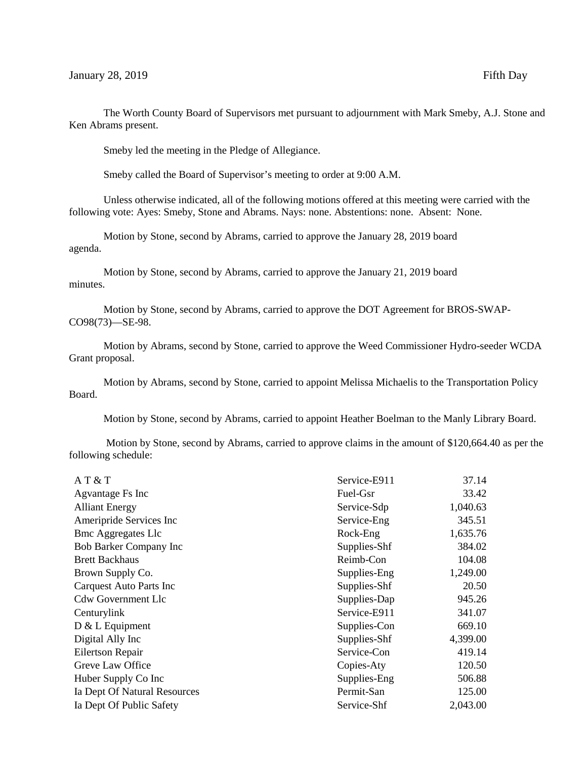The Worth County Board of Supervisors met pursuant to adjournment with Mark Smeby, A.J. Stone and Ken Abrams present.

Smeby led the meeting in the Pledge of Allegiance.

Smeby called the Board of Supervisor's meeting to order at 9:00 A.M.

Unless otherwise indicated, all of the following motions offered at this meeting were carried with the following vote: Ayes: Smeby, Stone and Abrams. Nays: none. Abstentions: none. Absent: None.

Motion by Stone, second by Abrams, carried to approve the January 28, 2019 board agenda.

Motion by Stone, second by Abrams, carried to approve the January 21, 2019 board minutes.

Motion by Stone, second by Abrams, carried to approve the DOT Agreement for BROS-SWAP-CO98(73)—SE-98.

Motion by Abrams, second by Stone, carried to approve the Weed Commissioner Hydro-seeder WCDA Grant proposal.

Motion by Abrams, second by Stone, carried to appoint Melissa Michaelis to the Transportation Policy Board.

Motion by Stone, second by Abrams, carried to appoint Heather Boelman to the Manly Library Board.

Motion by Stone, second by Abrams, carried to approve claims in the amount of \$120,664.40 as per the following schedule:

| AT & T                       | Service-E911 | 37.14    |
|------------------------------|--------------|----------|
| Agvantage Fs Inc             | Fuel-Gsr     | 33.42    |
| <b>Alliant Energy</b>        | Service-Sdp  | 1,040.63 |
| Ameripride Services Inc      | Service-Eng  | 345.51   |
| <b>Bmc Aggregates Llc</b>    | Rock-Eng     | 1,635.76 |
| Bob Barker Company Inc       | Supplies-Shf | 384.02   |
| <b>Brett Backhaus</b>        | Reimb-Con    | 104.08   |
| Brown Supply Co.             | Supplies-Eng | 1,249.00 |
| Carquest Auto Parts Inc      | Supplies-Shf | 20.50    |
| <b>Cdw Government Llc</b>    | Supplies-Dap | 945.26   |
| Centurylink                  | Service-E911 | 341.07   |
| $D & L$ Equipment            | Supplies-Con | 669.10   |
| Digital Ally Inc             | Supplies-Shf | 4,399.00 |
| <b>Eilertson Repair</b>      | Service-Con  | 419.14   |
| Greve Law Office             | Copies-Aty   | 120.50   |
| Huber Supply Co Inc          | Supplies-Eng | 506.88   |
| Ia Dept Of Natural Resources | Permit-San   | 125.00   |
| Ia Dept Of Public Safety     | Service-Shf  | 2,043.00 |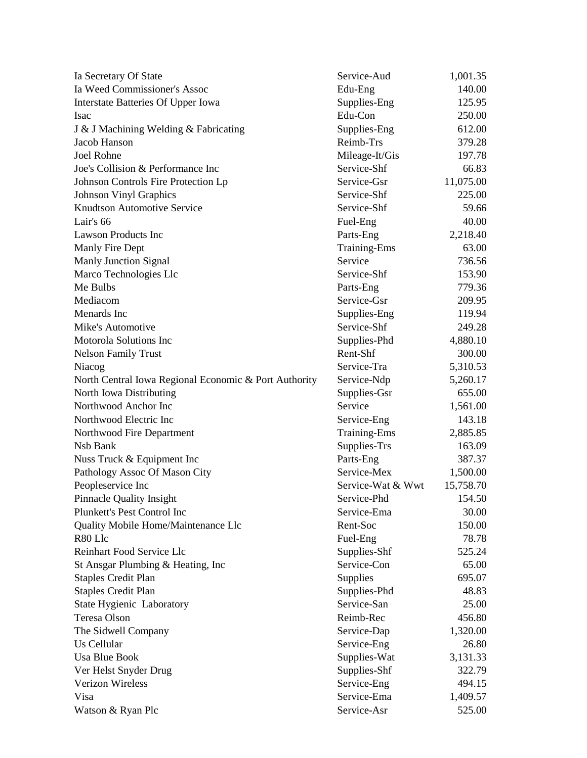| Ia Secretary Of State                                 | Service-Aud         | 1,001.35  |
|-------------------------------------------------------|---------------------|-----------|
| Ia Weed Commissioner's Assoc                          | Edu-Eng             | 140.00    |
| Interstate Batteries Of Upper Iowa                    | Supplies-Eng        | 125.95    |
| <b>Isac</b>                                           | Edu-Con             | 250.00    |
| J & J Machining Welding & Fabricating                 | Supplies-Eng        | 612.00    |
| Jacob Hanson                                          | Reimb-Trs           | 379.28    |
| <b>Joel Rohne</b>                                     | Mileage-It/Gis      | 197.78    |
| Joe's Collision & Performance Inc                     | Service-Shf         | 66.83     |
| Johnson Controls Fire Protection Lp                   | Service-Gsr         | 11,075.00 |
| <b>Johnson Vinyl Graphics</b>                         | Service-Shf         | 225.00    |
| <b>Knudtson Automotive Service</b>                    | Service-Shf         | 59.66     |
| Lair's 66                                             | Fuel-Eng            | 40.00     |
| <b>Lawson Products Inc</b>                            | Parts-Eng           | 2,218.40  |
| Manly Fire Dept                                       | <b>Training-Ems</b> | 63.00     |
| <b>Manly Junction Signal</b>                          | Service             | 736.56    |
| Marco Technologies Llc                                | Service-Shf         | 153.90    |
| Me Bulbs                                              | Parts-Eng           | 779.36    |
| Mediacom                                              | Service-Gsr         | 209.95    |
| Menards Inc                                           | Supplies-Eng        | 119.94    |
| Mike's Automotive                                     | Service-Shf         | 249.28    |
| <b>Motorola Solutions Inc</b>                         | Supplies-Phd        | 4,880.10  |
| <b>Nelson Family Trust</b>                            | Rent-Shf            | 300.00    |
| Niacog                                                | Service-Tra         | 5,310.53  |
| North Central Iowa Regional Economic & Port Authority | Service-Ndp         | 5,260.17  |
| North Iowa Distributing                               | Supplies-Gsr        | 655.00    |
| Northwood Anchor Inc                                  | Service             | 1,561.00  |
| Northwood Electric Inc                                | Service-Eng         | 143.18    |
| Northwood Fire Department                             | Training-Ems        | 2,885.85  |
| Nsb Bank                                              | Supplies-Trs        | 163.09    |
| Nuss Truck & Equipment Inc                            | Parts-Eng           | 387.37    |
| Pathology Assoc Of Mason City                         | Service-Mex         | 1,500.00  |
| Peopleservice Inc                                     | Service-Wat & Wwt   | 15,758.70 |
| <b>Pinnacle Quality Insight</b>                       | Service-Phd         | 154.50    |
| Plunkett's Pest Control Inc                           | Service-Ema         | 30.00     |
| Quality Mobile Home/Maintenance Llc                   | Rent-Soc            | 150.00    |
| R80 Llc                                               | Fuel-Eng            | 78.78     |
| Reinhart Food Service Llc                             | Supplies-Shf        | 525.24    |
| St Ansgar Plumbing & Heating, Inc                     | Service-Con         | 65.00     |
| <b>Staples Credit Plan</b>                            | Supplies            | 695.07    |
| <b>Staples Credit Plan</b>                            | Supplies-Phd        | 48.83     |
| State Hygienic Laboratory                             | Service-San         | 25.00     |
| Teresa Olson                                          | Reimb-Rec           | 456.80    |
| The Sidwell Company                                   | Service-Dap         | 1,320.00  |
| Us Cellular                                           | Service-Eng         | 26.80     |
| <b>Usa Blue Book</b>                                  | Supplies-Wat        | 3,131.33  |
| Ver Helst Snyder Drug                                 | Supplies-Shf        | 322.79    |
| Verizon Wireless                                      | Service-Eng         | 494.15    |
| Visa                                                  | Service-Ema         | 1,409.57  |
| Watson & Ryan Plc                                     | Service-Asr         | 525.00    |
|                                                       |                     |           |